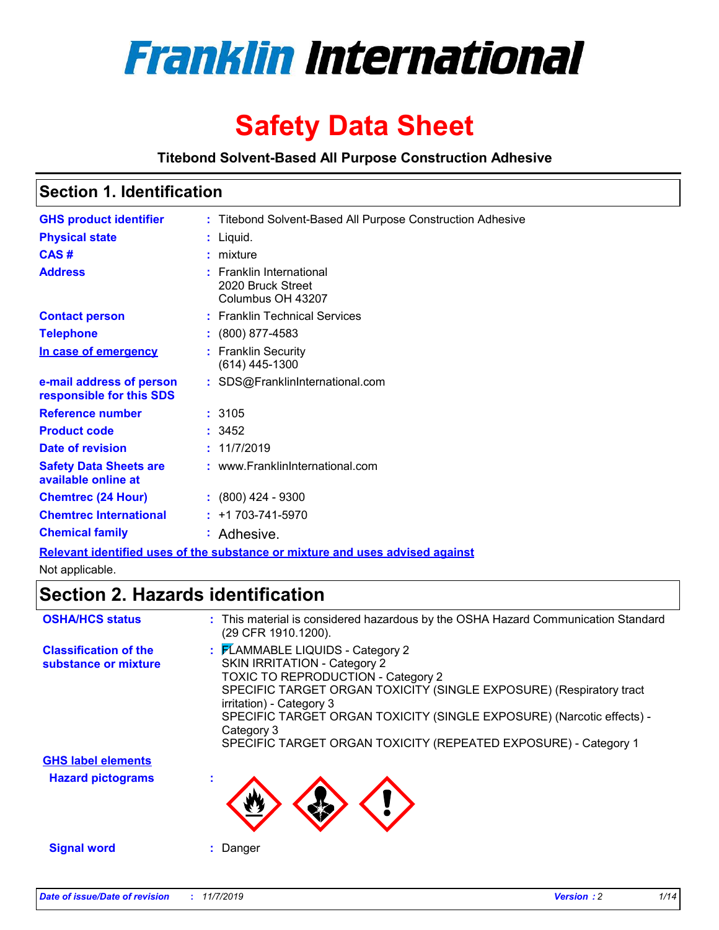

# **Safety Data Sheet**

### **Titebond Solvent-Based All Purpose Construction Adhesive**

| <b>GHS product identifier</b>                                                 |  | : Titebond Solvent-Based All Purpose Construction Adhesive         |
|-------------------------------------------------------------------------------|--|--------------------------------------------------------------------|
| <b>Physical state</b>                                                         |  | $:$ Liquid.                                                        |
| CAS#                                                                          |  | $:$ mixture                                                        |
| <b>Address</b>                                                                |  | : Franklin International<br>2020 Bruck Street<br>Columbus OH 43207 |
| <b>Contact person</b>                                                         |  | : Franklin Technical Services                                      |
| <b>Telephone</b>                                                              |  | $: (800) 877 - 4583$                                               |
| In case of emergency                                                          |  | : Franklin Security<br>$(614)$ 445-1300                            |
| e-mail address of person<br>responsible for this SDS                          |  | : SDS@FranklinInternational.com                                    |
| <b>Reference number</b>                                                       |  | : 3105                                                             |
| <b>Product code</b>                                                           |  | : 3452                                                             |
| Date of revision                                                              |  | : 11/7/2019                                                        |
| <b>Safety Data Sheets are</b><br>available online at                          |  | : www.FranklinInternational.com                                    |
| <b>Chemtrec (24 Hour)</b>                                                     |  | $(800)$ 424 - 9300                                                 |
| <b>Chemtrec International</b>                                                 |  | $: +1703 - 741 - 5970$                                             |
| <b>Chemical family</b>                                                        |  | : Adhesive.                                                        |
| Relevant identified uses of the substance or mixture and uses advised against |  |                                                                    |

Not applicable.

# **Section 2. Hazards identification**

| <b>OSHA/HCS status</b>                               | : This material is considered hazardous by the OSHA Hazard Communication Standard<br>(29 CFR 1910.1200).                                                                                                                                                                                                                                                            |
|------------------------------------------------------|---------------------------------------------------------------------------------------------------------------------------------------------------------------------------------------------------------------------------------------------------------------------------------------------------------------------------------------------------------------------|
| <b>Classification of the</b><br>substance or mixture | : FLAMMABLE LIQUIDS - Category 2<br>SKIN IRRITATION - Category 2<br>TOXIC TO REPRODUCTION - Category 2<br>SPECIFIC TARGET ORGAN TOXICITY (SINGLE EXPOSURE) (Respiratory tract<br>irritation) - Category 3<br>SPECIFIC TARGET ORGAN TOXICITY (SINGLE EXPOSURE) (Narcotic effects) -<br>Category 3<br>SPECIFIC TARGET ORGAN TOXICITY (REPEATED EXPOSURE) - Category 1 |
| <b>GHS label elements</b>                            |                                                                                                                                                                                                                                                                                                                                                                     |
| <b>Hazard pictograms</b>                             |                                                                                                                                                                                                                                                                                                                                                                     |
| <b>Signal word</b>                                   | Danger                                                                                                                                                                                                                                                                                                                                                              |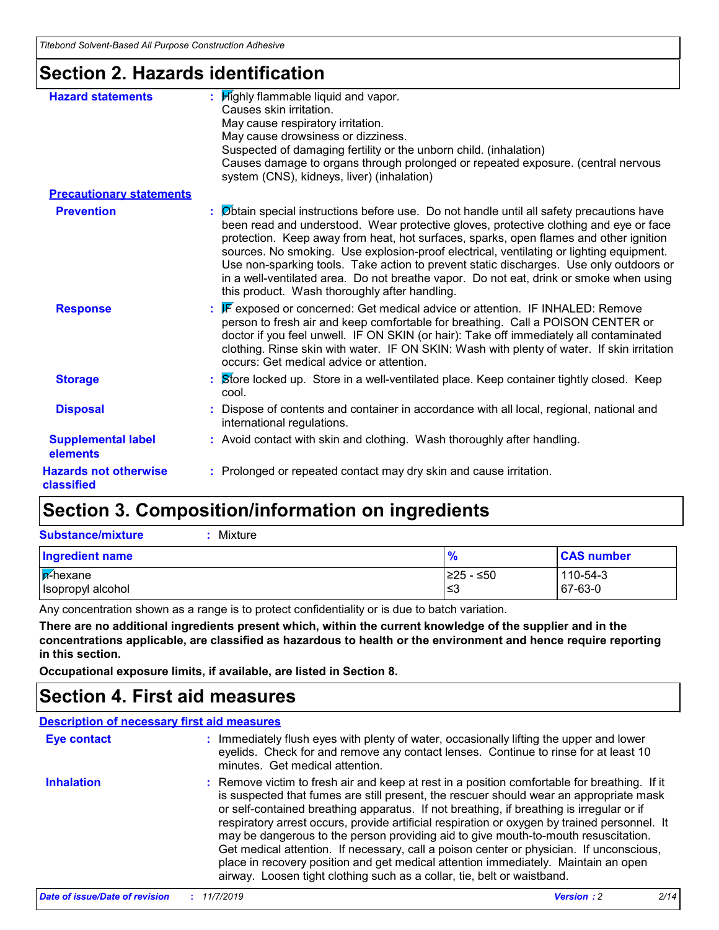# **Section 2. Hazards identification**

| <b>Hazard statements</b>                   | : Highly flammable liquid and vapor.<br>Causes skin irritation.<br>May cause respiratory irritation.<br>May cause drowsiness or dizziness.<br>Suspected of damaging fertility or the unborn child. (inhalation)<br>Causes damage to organs through prolonged or repeated exposure. (central nervous<br>system (CNS), kidneys, liver) (inhalation)                                                                                                                                                                                                                                                           |
|--------------------------------------------|-------------------------------------------------------------------------------------------------------------------------------------------------------------------------------------------------------------------------------------------------------------------------------------------------------------------------------------------------------------------------------------------------------------------------------------------------------------------------------------------------------------------------------------------------------------------------------------------------------------|
| <b>Precautionary statements</b>            |                                                                                                                                                                                                                                                                                                                                                                                                                                                                                                                                                                                                             |
| <b>Prevention</b>                          | : Øbtain special instructions before use. Do not handle until all safety precautions have<br>been read and understood. Wear protective gloves, protective clothing and eye or face<br>protection. Keep away from heat, hot surfaces, sparks, open flames and other ignition<br>sources. No smoking. Use explosion-proof electrical, ventilating or lighting equipment.<br>Use non-sparking tools. Take action to prevent static discharges. Use only outdoors or<br>in a well-ventilated area. Do not breathe vapor. Do not eat, drink or smoke when using<br>this product. Wash thoroughly after handling. |
| <b>Response</b>                            | : F exposed or concerned: Get medical advice or attention. IF INHALED: Remove<br>person to fresh air and keep comfortable for breathing. Call a POISON CENTER or<br>doctor if you feel unwell. IF ON SKIN (or hair): Take off immediately all contaminated<br>clothing. Rinse skin with water. IF ON SKIN: Wash with plenty of water. If skin irritation<br>occurs: Get medical advice or attention.                                                                                                                                                                                                        |
| <b>Storage</b>                             | <b>Store locked up. Store in a well-ventilated place. Keep container tightly closed. Keep</b><br>cool.                                                                                                                                                                                                                                                                                                                                                                                                                                                                                                      |
| <b>Disposal</b>                            | : Dispose of contents and container in accordance with all local, regional, national and<br>international regulations.                                                                                                                                                                                                                                                                                                                                                                                                                                                                                      |
| <b>Supplemental label</b><br>elements      | : Avoid contact with skin and clothing. Wash thoroughly after handling.                                                                                                                                                                                                                                                                                                                                                                                                                                                                                                                                     |
| <b>Hazards not otherwise</b><br>classified | : Prolonged or repeated contact may dry skin and cause irritation.                                                                                                                                                                                                                                                                                                                                                                                                                                                                                                                                          |

# **Section 3. Composition/information on ingredients**

| <b>Ingredient name</b> | $\frac{9}{6}$ | <b>CAS number</b> |
|------------------------|---------------|-------------------|
| <b>A</b> -hexane       | $≥25 - ≤50$   | 110-54-3          |
| Isopropyl alcohol      | l≤3           | 67-63-0           |

Any concentration shown as a range is to protect confidentiality or is due to batch variation.

**There are no additional ingredients present which, within the current knowledge of the supplier and in the concentrations applicable, are classified as hazardous to health or the environment and hence require reporting in this section.**

**Occupational exposure limits, if available, are listed in Section 8.**

# **Section 4. First aid measures**

#### **Description of necessary first aid measures**

| <b>Eye contact</b> | : Immediately flush eyes with plenty of water, occasionally lifting the upper and lower<br>eyelids. Check for and remove any contact lenses. Continue to rinse for at least 10<br>minutes. Get medical attention.                                                                                                                                                                                                                                                                                                                                                                                                                                                                                                                    |
|--------------------|--------------------------------------------------------------------------------------------------------------------------------------------------------------------------------------------------------------------------------------------------------------------------------------------------------------------------------------------------------------------------------------------------------------------------------------------------------------------------------------------------------------------------------------------------------------------------------------------------------------------------------------------------------------------------------------------------------------------------------------|
| <b>Inhalation</b>  | : Remove victim to fresh air and keep at rest in a position comfortable for breathing. If it<br>is suspected that fumes are still present, the rescuer should wear an appropriate mask<br>or self-contained breathing apparatus. If not breathing, if breathing is irregular or if<br>respiratory arrest occurs, provide artificial respiration or oxygen by trained personnel. It<br>may be dangerous to the person providing aid to give mouth-to-mouth resuscitation.<br>Get medical attention. If necessary, call a poison center or physician. If unconscious,<br>place in recovery position and get medical attention immediately. Maintain an open<br>airway. Loosen tight clothing such as a collar, tie, belt or waistband. |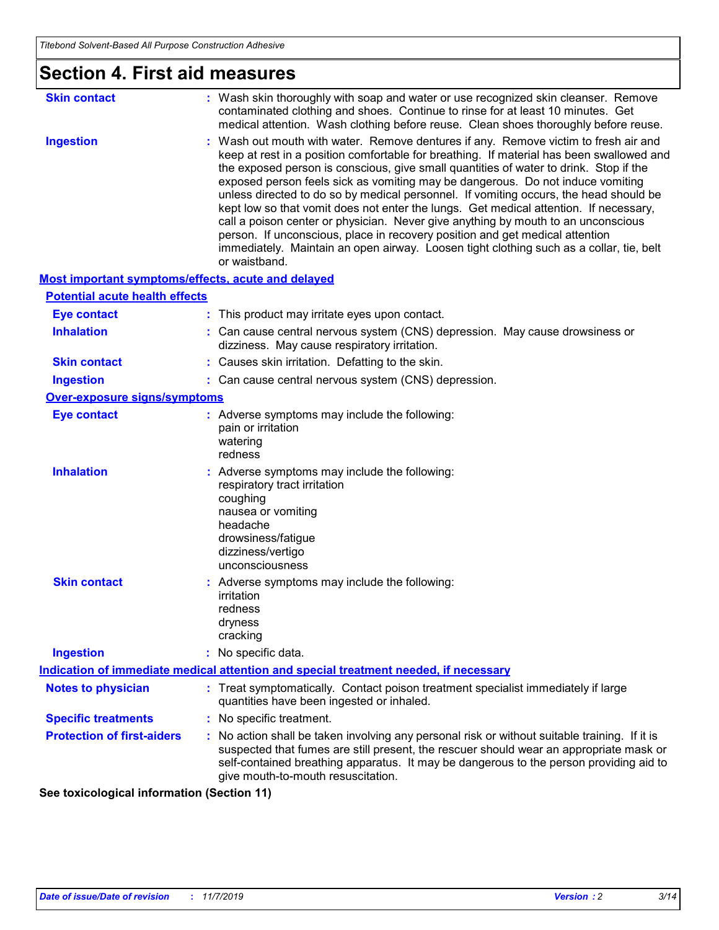| <b>Section 4. First aid measures</b>                      |                                                                                                                                                                                                                                                                                                                                                                                                                                                                                                                                                                                                                                                                                                                                                                                                                               |
|-----------------------------------------------------------|-------------------------------------------------------------------------------------------------------------------------------------------------------------------------------------------------------------------------------------------------------------------------------------------------------------------------------------------------------------------------------------------------------------------------------------------------------------------------------------------------------------------------------------------------------------------------------------------------------------------------------------------------------------------------------------------------------------------------------------------------------------------------------------------------------------------------------|
| <b>Skin contact</b>                                       | : Wash skin thoroughly with soap and water or use recognized skin cleanser. Remove<br>contaminated clothing and shoes. Continue to rinse for at least 10 minutes. Get<br>medical attention. Wash clothing before reuse. Clean shoes thoroughly before reuse.                                                                                                                                                                                                                                                                                                                                                                                                                                                                                                                                                                  |
| <b>Ingestion</b>                                          | : Wash out mouth with water. Remove dentures if any. Remove victim to fresh air and<br>keep at rest in a position comfortable for breathing. If material has been swallowed and<br>the exposed person is conscious, give small quantities of water to drink. Stop if the<br>exposed person feels sick as vomiting may be dangerous. Do not induce vomiting<br>unless directed to do so by medical personnel. If vomiting occurs, the head should be<br>kept low so that vomit does not enter the lungs. Get medical attention. If necessary,<br>call a poison center or physician. Never give anything by mouth to an unconscious<br>person. If unconscious, place in recovery position and get medical attention<br>immediately. Maintain an open airway. Loosen tight clothing such as a collar, tie, belt<br>or waistband. |
| <b>Most important symptoms/effects, acute and delayed</b> |                                                                                                                                                                                                                                                                                                                                                                                                                                                                                                                                                                                                                                                                                                                                                                                                                               |
| <b>Potential acute health effects</b>                     |                                                                                                                                                                                                                                                                                                                                                                                                                                                                                                                                                                                                                                                                                                                                                                                                                               |
| <b>Eye contact</b>                                        | : This product may irritate eyes upon contact.                                                                                                                                                                                                                                                                                                                                                                                                                                                                                                                                                                                                                                                                                                                                                                                |
| <b>Inhalation</b>                                         | : Can cause central nervous system (CNS) depression. May cause drowsiness or<br>dizziness. May cause respiratory irritation.                                                                                                                                                                                                                                                                                                                                                                                                                                                                                                                                                                                                                                                                                                  |
| <b>Skin contact</b>                                       | : Causes skin irritation. Defatting to the skin.                                                                                                                                                                                                                                                                                                                                                                                                                                                                                                                                                                                                                                                                                                                                                                              |
| <b>Ingestion</b>                                          | : Can cause central nervous system (CNS) depression.                                                                                                                                                                                                                                                                                                                                                                                                                                                                                                                                                                                                                                                                                                                                                                          |
| <b>Over-exposure signs/symptoms</b>                       |                                                                                                                                                                                                                                                                                                                                                                                                                                                                                                                                                                                                                                                                                                                                                                                                                               |
| <b>Eye contact</b>                                        | : Adverse symptoms may include the following:<br>pain or irritation<br>watering<br>redness                                                                                                                                                                                                                                                                                                                                                                                                                                                                                                                                                                                                                                                                                                                                    |
| <b>Inhalation</b>                                         | : Adverse symptoms may include the following:<br>respiratory tract irritation<br>coughing<br>nausea or vomiting<br>headache<br>drowsiness/fatigue<br>dizziness/vertigo<br>unconsciousness                                                                                                                                                                                                                                                                                                                                                                                                                                                                                                                                                                                                                                     |
| <b>Skin contact</b>                                       | : Adverse symptoms may include the following:<br>irritation<br>redness<br>dryness<br>cracking                                                                                                                                                                                                                                                                                                                                                                                                                                                                                                                                                                                                                                                                                                                                 |
| <b>Ingestion</b>                                          | : No specific data.                                                                                                                                                                                                                                                                                                                                                                                                                                                                                                                                                                                                                                                                                                                                                                                                           |
|                                                           | Indication of immediate medical attention and special treatment needed, if necessary                                                                                                                                                                                                                                                                                                                                                                                                                                                                                                                                                                                                                                                                                                                                          |
| <b>Notes to physician</b>                                 | : Treat symptomatically. Contact poison treatment specialist immediately if large<br>quantities have been ingested or inhaled.                                                                                                                                                                                                                                                                                                                                                                                                                                                                                                                                                                                                                                                                                                |
| <b>Specific treatments</b>                                | : No specific treatment.                                                                                                                                                                                                                                                                                                                                                                                                                                                                                                                                                                                                                                                                                                                                                                                                      |
| <b>Protection of first-aiders</b>                         | : No action shall be taken involving any personal risk or without suitable training. If it is<br>suspected that fumes are still present, the rescuer should wear an appropriate mask or<br>self-contained breathing apparatus. It may be dangerous to the person providing aid to<br>give mouth-to-mouth resuscitation.                                                                                                                                                                                                                                                                                                                                                                                                                                                                                                       |

**See toxicological information (Section 11)**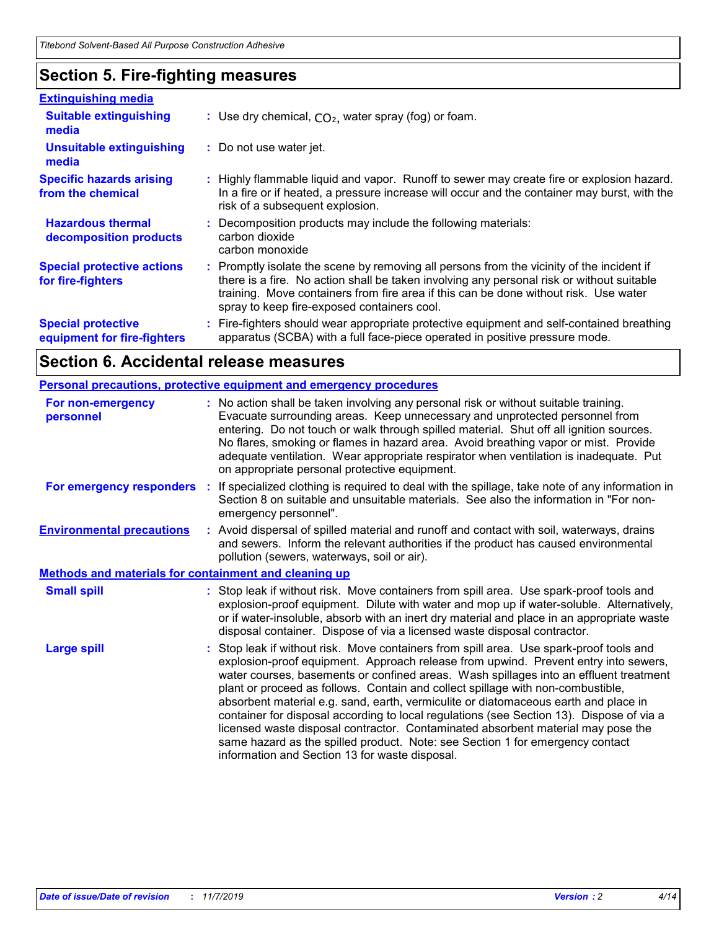# **Section 5. Fire-fighting measures**

| <b>Extinguishing media</b>                               |                                                                                                                                                                                                                                                                                                                               |  |
|----------------------------------------------------------|-------------------------------------------------------------------------------------------------------------------------------------------------------------------------------------------------------------------------------------------------------------------------------------------------------------------------------|--|
| <b>Suitable extinguishing</b><br>media                   | : Use dry chemical, $CO2$ , water spray (fog) or foam.                                                                                                                                                                                                                                                                        |  |
| <b>Unsuitable extinguishing</b><br>media                 | : Do not use water jet.                                                                                                                                                                                                                                                                                                       |  |
| <b>Specific hazards arising</b><br>from the chemical     | : Highly flammable liquid and vapor. Runoff to sewer may create fire or explosion hazard.<br>In a fire or if heated, a pressure increase will occur and the container may burst, with the<br>risk of a subsequent explosion.                                                                                                  |  |
| <b>Hazardous thermal</b><br>decomposition products       | : Decomposition products may include the following materials:<br>carbon dioxide<br>carbon monoxide                                                                                                                                                                                                                            |  |
| <b>Special protective actions</b><br>for fire-fighters   | : Promptly isolate the scene by removing all persons from the vicinity of the incident if<br>there is a fire. No action shall be taken involving any personal risk or without suitable<br>training. Move containers from fire area if this can be done without risk. Use water<br>spray to keep fire-exposed containers cool. |  |
| <b>Special protective</b><br>equipment for fire-fighters | Fire-fighters should wear appropriate protective equipment and self-contained breathing<br>apparatus (SCBA) with a full face-piece operated in positive pressure mode.                                                                                                                                                        |  |

# **Section 6. Accidental release measures**

|                                                              |    | Personal precautions, protective equipment and emergency procedures                                                                                                                                                                                                                                                                                                                                                                                                                                                                                                                                                                                                                                                                                                |
|--------------------------------------------------------------|----|--------------------------------------------------------------------------------------------------------------------------------------------------------------------------------------------------------------------------------------------------------------------------------------------------------------------------------------------------------------------------------------------------------------------------------------------------------------------------------------------------------------------------------------------------------------------------------------------------------------------------------------------------------------------------------------------------------------------------------------------------------------------|
| For non-emergency<br>personnel                               |    | : No action shall be taken involving any personal risk or without suitable training.<br>Evacuate surrounding areas. Keep unnecessary and unprotected personnel from<br>entering. Do not touch or walk through spilled material. Shut off all ignition sources.<br>No flares, smoking or flames in hazard area. Avoid breathing vapor or mist. Provide<br>adequate ventilation. Wear appropriate respirator when ventilation is inadequate. Put<br>on appropriate personal protective equipment.                                                                                                                                                                                                                                                                    |
| For emergency responders                                     | ÷. | If specialized clothing is required to deal with the spillage, take note of any information in<br>Section 8 on suitable and unsuitable materials. See also the information in "For non-<br>emergency personnel".                                                                                                                                                                                                                                                                                                                                                                                                                                                                                                                                                   |
| <b>Environmental precautions</b>                             |    | : Avoid dispersal of spilled material and runoff and contact with soil, waterways, drains<br>and sewers. Inform the relevant authorities if the product has caused environmental<br>pollution (sewers, waterways, soil or air).                                                                                                                                                                                                                                                                                                                                                                                                                                                                                                                                    |
| <b>Methods and materials for containment and cleaning up</b> |    |                                                                                                                                                                                                                                                                                                                                                                                                                                                                                                                                                                                                                                                                                                                                                                    |
| <b>Small spill</b>                                           |    | : Stop leak if without risk. Move containers from spill area. Use spark-proof tools and<br>explosion-proof equipment. Dilute with water and mop up if water-soluble. Alternatively,<br>or if water-insoluble, absorb with an inert dry material and place in an appropriate waste<br>disposal container. Dispose of via a licensed waste disposal contractor.                                                                                                                                                                                                                                                                                                                                                                                                      |
| <b>Large spill</b>                                           |    | Stop leak if without risk. Move containers from spill area. Use spark-proof tools and<br>explosion-proof equipment. Approach release from upwind. Prevent entry into sewers,<br>water courses, basements or confined areas. Wash spillages into an effluent treatment<br>plant or proceed as follows. Contain and collect spillage with non-combustible,<br>absorbent material e.g. sand, earth, vermiculite or diatomaceous earth and place in<br>container for disposal according to local regulations (see Section 13). Dispose of via a<br>licensed waste disposal contractor. Contaminated absorbent material may pose the<br>same hazard as the spilled product. Note: see Section 1 for emergency contact<br>information and Section 13 for waste disposal. |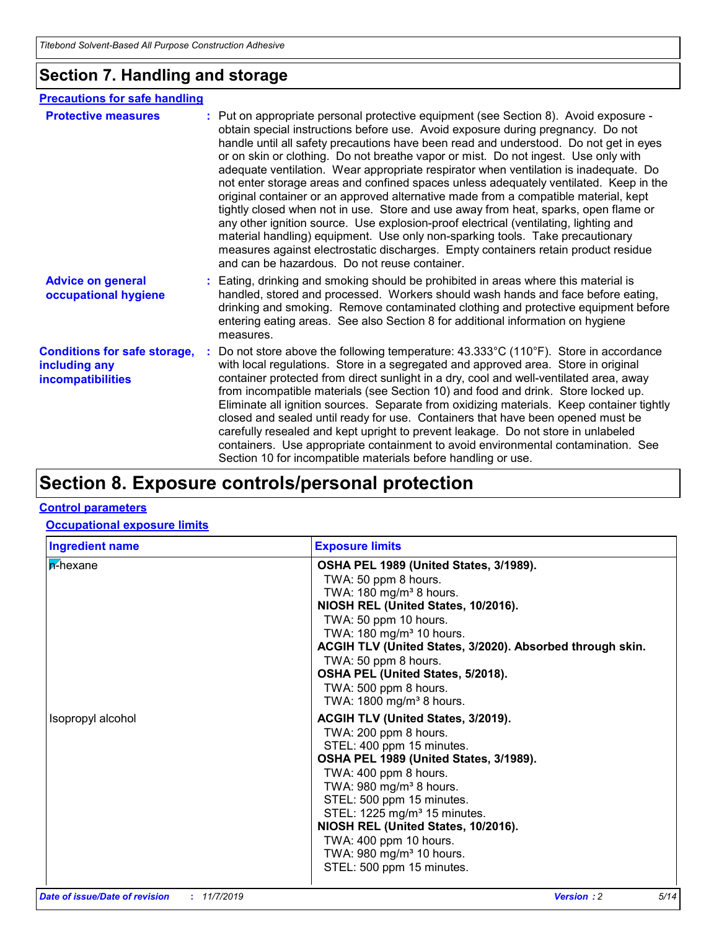# **Section 7. Handling and storage**

#### **Advice on general occupational hygiene Conditions for safe storage, including any incompatibilities** Eating, drinking and smoking should be prohibited in areas where this material is **:** handled, stored and processed. Workers should wash hands and face before eating, drinking and smoking. Remove contaminated clothing and protective equipment before entering eating areas. See also Section 8 for additional information on hygiene measures. Do not store above the following temperature: 43.333°C (110°F). Store in accordance **:** with local regulations. Store in a segregated and approved area. Store in original container protected from direct sunlight in a dry, cool and well-ventilated area, away from incompatible materials (see Section 10) and food and drink. Store locked up. Eliminate all ignition sources. Separate from oxidizing materials. Keep container tightly closed and sealed until ready for use. Containers that have been opened must be carefully resealed and kept upright to prevent leakage. Do not store in unlabeled containers. Use appropriate containment to avoid environmental contamination. See Section 10 for incompatible materials before handling or use. **Protective measures** : Put on appropriate personal protective equipment (see Section 8). Avoid exposure obtain special instructions before use. Avoid exposure during pregnancy. Do not handle until all safety precautions have been read and understood. Do not get in eyes or on skin or clothing. Do not breathe vapor or mist. Do not ingest. Use only with adequate ventilation. Wear appropriate respirator when ventilation is inadequate. Do not enter storage areas and confined spaces unless adequately ventilated. Keep in the original container or an approved alternative made from a compatible material, kept tightly closed when not in use. Store and use away from heat, sparks, open flame or any other ignition source. Use explosion-proof electrical (ventilating, lighting and material handling) equipment. Use only non-sparking tools. Take precautionary measures against electrostatic discharges. Empty containers retain product residue and can be hazardous. Do not reuse container. **Precautions for safe handling**

# **Section 8. Exposure controls/personal protection**

#### **Control parameters**

#### **Occupational exposure limits**

| <b>Ingredient name</b> | <b>Exposure limits</b>                                                                                                                                                                                                                                                                                                                                                                                                     |
|------------------------|----------------------------------------------------------------------------------------------------------------------------------------------------------------------------------------------------------------------------------------------------------------------------------------------------------------------------------------------------------------------------------------------------------------------------|
| <b>n</b> -hexane       | OSHA PEL 1989 (United States, 3/1989).<br>TWA: 50 ppm 8 hours.<br>TWA: $180 \text{ mg/m}^3$ 8 hours.<br>NIOSH REL (United States, 10/2016).<br>TWA: 50 ppm 10 hours.<br>TWA: 180 mg/m <sup>3</sup> 10 hours.<br>ACGIH TLV (United States, 3/2020). Absorbed through skin.<br>TWA: 50 ppm 8 hours.<br>OSHA PEL (United States, 5/2018).<br>TWA: 500 ppm 8 hours.<br>TWA: 1800 mg/m <sup>3</sup> 8 hours.                    |
| Isopropyl alcohol      | <b>ACGIH TLV (United States, 3/2019).</b><br>TWA: 200 ppm 8 hours.<br>STEL: 400 ppm 15 minutes.<br>OSHA PEL 1989 (United States, 3/1989).<br>TWA: 400 ppm 8 hours.<br>TWA: $980$ mg/m <sup>3</sup> 8 hours.<br>STEL: 500 ppm 15 minutes.<br>STEL: 1225 mg/m <sup>3</sup> 15 minutes.<br>NIOSH REL (United States, 10/2016).<br>TWA: 400 ppm 10 hours.<br>TWA: 980 mg/m <sup>3</sup> 10 hours.<br>STEL: 500 ppm 15 minutes. |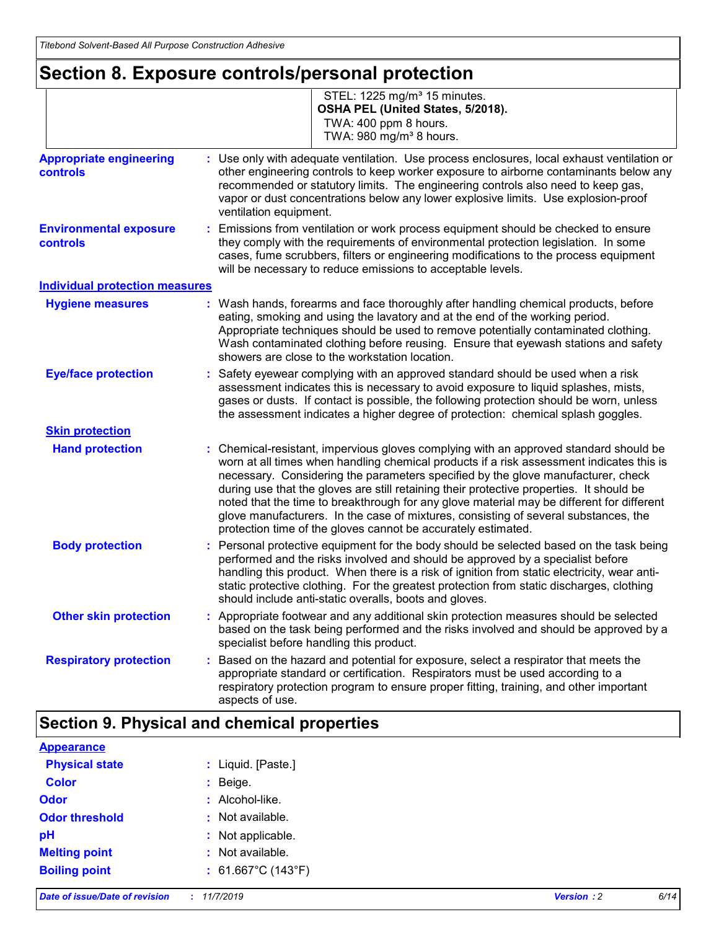# **Section 8. Exposure controls/personal protection**

|                                            | STEL: 1225 mg/m <sup>3</sup> 15 minutes.<br>OSHA PEL (United States, 5/2018).<br>TWA: 400 ppm 8 hours.<br>TWA: 980 mg/m <sup>3</sup> 8 hours.                                                                                                                                                                                                                                                                                                                                                                                                                                                                          |
|--------------------------------------------|------------------------------------------------------------------------------------------------------------------------------------------------------------------------------------------------------------------------------------------------------------------------------------------------------------------------------------------------------------------------------------------------------------------------------------------------------------------------------------------------------------------------------------------------------------------------------------------------------------------------|
| <b>Appropriate engineering</b><br>controls | Use only with adequate ventilation. Use process enclosures, local exhaust ventilation or<br>other engineering controls to keep worker exposure to airborne contaminants below any<br>recommended or statutory limits. The engineering controls also need to keep gas,<br>vapor or dust concentrations below any lower explosive limits. Use explosion-proof<br>ventilation equipment.                                                                                                                                                                                                                                  |
| <b>Environmental exposure</b><br>controls  | Emissions from ventilation or work process equipment should be checked to ensure<br>they comply with the requirements of environmental protection legislation. In some<br>cases, fume scrubbers, filters or engineering modifications to the process equipment<br>will be necessary to reduce emissions to acceptable levels.                                                                                                                                                                                                                                                                                          |
| <b>Individual protection measures</b>      |                                                                                                                                                                                                                                                                                                                                                                                                                                                                                                                                                                                                                        |
| <b>Hygiene measures</b>                    | : Wash hands, forearms and face thoroughly after handling chemical products, before<br>eating, smoking and using the lavatory and at the end of the working period.<br>Appropriate techniques should be used to remove potentially contaminated clothing.<br>Wash contaminated clothing before reusing. Ensure that eyewash stations and safety<br>showers are close to the workstation location.                                                                                                                                                                                                                      |
| <b>Eye/face protection</b>                 | : Safety eyewear complying with an approved standard should be used when a risk<br>assessment indicates this is necessary to avoid exposure to liquid splashes, mists,<br>gases or dusts. If contact is possible, the following protection should be worn, unless<br>the assessment indicates a higher degree of protection: chemical splash goggles.                                                                                                                                                                                                                                                                  |
| <b>Skin protection</b>                     |                                                                                                                                                                                                                                                                                                                                                                                                                                                                                                                                                                                                                        |
| <b>Hand protection</b>                     | : Chemical-resistant, impervious gloves complying with an approved standard should be<br>worn at all times when handling chemical products if a risk assessment indicates this is<br>necessary. Considering the parameters specified by the glove manufacturer, check<br>during use that the gloves are still retaining their protective properties. It should be<br>noted that the time to breakthrough for any glove material may be different for different<br>glove manufacturers. In the case of mixtures, consisting of several substances, the<br>protection time of the gloves cannot be accurately estimated. |
| <b>Body protection</b>                     | Personal protective equipment for the body should be selected based on the task being<br>performed and the risks involved and should be approved by a specialist before<br>handling this product. When there is a risk of ignition from static electricity, wear anti-<br>static protective clothing. For the greatest protection from static discharges, clothing<br>should include anti-static overalls, boots and gloves.                                                                                                                                                                                           |
| <b>Other skin protection</b>               | : Appropriate footwear and any additional skin protection measures should be selected<br>based on the task being performed and the risks involved and should be approved by a<br>specialist before handling this product.                                                                                                                                                                                                                                                                                                                                                                                              |
| <b>Respiratory protection</b>              | Based on the hazard and potential for exposure, select a respirator that meets the<br>appropriate standard or certification. Respirators must be used according to a<br>respiratory protection program to ensure proper fitting, training, and other important<br>aspects of use.                                                                                                                                                                                                                                                                                                                                      |

# **Section 9. Physical and chemical properties**

| <b>Appearance</b>     |                              |
|-----------------------|------------------------------|
| <b>Physical state</b> | : Liquid. [Paste.]           |
| <b>Color</b>          | : Beige.                     |
| <b>Odor</b>           | : Alcohol-like.              |
| <b>Odor threshold</b> | : Not available.             |
| pH                    | : Not applicable.            |
| <b>Melting point</b>  | : Not available.             |
| <b>Boiling point</b>  | : $61.667^{\circ}$ C (143°F) |
|                       |                              |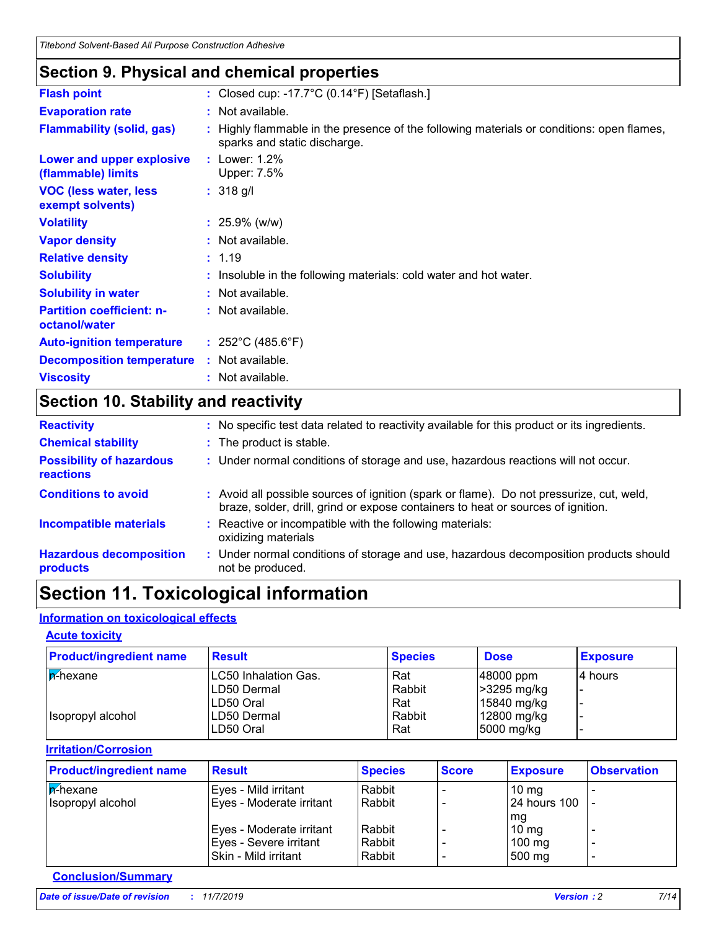# **Section 9. Physical and chemical properties**

| <b>Flash point</b>                                | : Closed cup: -17.7 $^{\circ}$ C (0.14 $^{\circ}$ F) [Setaflash.]                                                         |
|---------------------------------------------------|---------------------------------------------------------------------------------------------------------------------------|
| <b>Evaporation rate</b>                           | : Not available.                                                                                                          |
| <b>Flammability (solid, gas)</b>                  | : Highly flammable in the presence of the following materials or conditions: open flames,<br>sparks and static discharge. |
| Lower and upper explosive<br>(flammable) limits   | : Lower: $1.2\%$<br>Upper: 7.5%                                                                                           |
| <b>VOC (less water, less)</b><br>exempt solvents) | $: 318$ g/l                                                                                                               |
| <b>Volatility</b>                                 | $: 25.9\%$ (w/w)                                                                                                          |
| <b>Vapor density</b>                              | : Not available.                                                                                                          |
| <b>Relative density</b>                           | : 1.19                                                                                                                    |
| <b>Solubility</b>                                 | : Insoluble in the following materials: cold water and hot water.                                                         |
| <b>Solubility in water</b>                        | : Not available.                                                                                                          |
| <b>Partition coefficient: n-</b><br>octanol/water | : Not available.                                                                                                          |
| <b>Auto-ignition temperature</b>                  | : $252^{\circ}$ C (485.6 $^{\circ}$ F)                                                                                    |
| <b>Decomposition temperature</b>                  | : Not available.                                                                                                          |
| <b>Viscosity</b>                                  | : Not available.                                                                                                          |
|                                                   |                                                                                                                           |

# **Section 10. Stability and reactivity**

| <b>Reactivity</b>                                   | : No specific test data related to reactivity available for this product or its ingredients.                                                                                 |
|-----------------------------------------------------|------------------------------------------------------------------------------------------------------------------------------------------------------------------------------|
| <b>Chemical stability</b>                           | : The product is stable.                                                                                                                                                     |
| <b>Possibility of hazardous</b><br><b>reactions</b> | : Under normal conditions of storage and use, hazardous reactions will not occur.                                                                                            |
| <b>Conditions to avoid</b>                          | : Avoid all possible sources of ignition (spark or flame). Do not pressurize, cut, weld,<br>braze, solder, drill, grind or expose containers to heat or sources of ignition. |
| <b>Incompatible materials</b>                       | Reactive or incompatible with the following materials:<br>oxidizing materials                                                                                                |
| <b>Hazardous decomposition</b><br>products          | : Under normal conditions of storage and use, hazardous decomposition products should<br>not be produced.                                                                    |

# **Section 11. Toxicological information**

#### **Information on toxicological effects**

#### **Acute toxicity**

| <b>Product/ingredient name</b> | <b>Result</b>         | <b>Species</b> | <b>Dose</b>  | <b>Exposure</b> |
|--------------------------------|-----------------------|----------------|--------------|-----------------|
| $ \mathbf{p}$ -hexane          | ILC50 Inhalation Gas. | Rat            | $ 48000$ ppm | 14 hours        |
|                                | ILD50 Dermal          | Rabbit         | >3295 mg/kg  |                 |
|                                | ILD50 Oral            | Rat            | 15840 mg/kg  |                 |
| I Isopropyl alcohol            | ILD50 Dermal          | Rabbit         | 12800 mg/kg  |                 |
|                                | LD50 Oral             | Rat            | 5000 mg/kg   |                 |

#### **Irritation/Corrosion**

| <b>Product/ingredient name</b> | <b>Result</b>            | <b>Species</b> | <b>Score</b> | <b>Exposure</b>  | <b>Observation</b> |
|--------------------------------|--------------------------|----------------|--------------|------------------|--------------------|
| <b>A-hexane</b>                | Eyes - Mild irritant     | Rabbit         |              | $10 \text{ mg}$  |                    |
| Isopropyl alcohol              | Eyes - Moderate irritant | Rabbit         |              | 24 hours 100     |                    |
|                                |                          |                |              | mg               |                    |
|                                | Eyes - Moderate irritant | Rabbit         |              | $10 \text{ mg}$  |                    |
|                                | Eyes - Severe irritant   | Rabbit         |              | $100 \text{ mg}$ |                    |
|                                | Skin - Mild irritant     | Rabbit         |              | 500 mg           | -                  |

#### **Conclusion/Summary**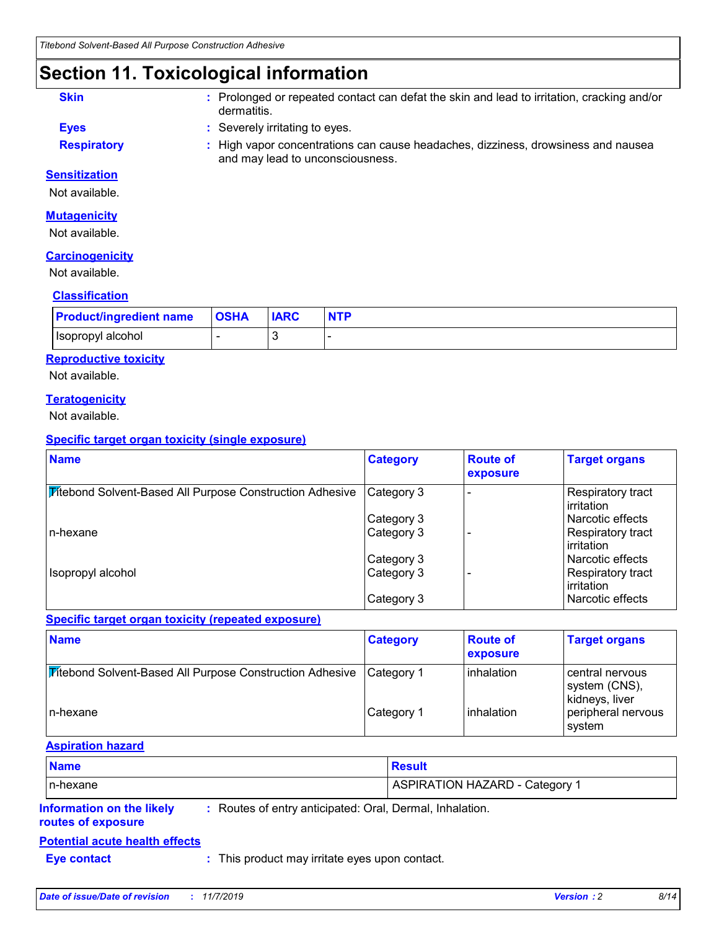# **Section 11. Toxicological information**

- **Skin :** Prolonged or repeated contact can defat the skin and lead to irritation, cracking and/or dermatitis.
- **Eyes :** Severely irritating to eyes.
- 
- **Respiratory <b>:** High vapor concentrations can cause headaches, dizziness, drowsiness and nausea and may lead to unconsciousness.

#### **Sensitization**

Not available.

#### **Mutagenicity**

Not available.

#### **Carcinogenicity**

Not available.

#### **Classification**

| <b>Product/ingredient name</b> | <b>OSHA</b> | <b>IARC</b> |  |
|--------------------------------|-------------|-------------|--|
| Isopropyl alcohol              |             |             |  |

#### **Reproductive toxicity**

Not available.

#### **Teratogenicity**

Not available.

#### **Specific target organ toxicity (single exposure)**

| <b>Name</b>                                                     | <b>Category</b> | <b>Route of</b><br>exposure | <b>Target organs</b>              |
|-----------------------------------------------------------------|-----------------|-----------------------------|-----------------------------------|
| <b>Mitebond Solvent-Based All Purpose Construction Adhesive</b> | Category 3      |                             | Respiratory tract<br>l irritation |
|                                                                 | Category 3      |                             | l Narcotic effects                |
| n-hexane                                                        | Category 3      |                             | Respiratory tract<br>l irritation |
|                                                                 | Category 3      |                             | Narcotic effects                  |
| Isopropyl alcohol                                               | Category 3      |                             | Respiratory tract<br>l irritation |
|                                                                 | Category 3      |                             | l Narcotic effects                |

#### **Specific target organ toxicity (repeated exposure)**

| <b>Name</b>                                                            | <b>Category</b> | <b>Route of</b><br><b>exposure</b> | <b>Target organs</b>                               |
|------------------------------------------------------------------------|-----------------|------------------------------------|----------------------------------------------------|
| <b><i>Vitebond Solvent-Based All Purpose Construction Adhesive</i></b> | Category 1      | l inhalation                       | central nervous<br>system (CNS),<br>kidneys, liver |
| In-hexane                                                              | Category 1      | inhalation                         | peripheral nervous<br>system                       |

#### **Aspiration hazard**

| <b>Name</b>                                     |                                                          | <b>Result</b>                         |
|-------------------------------------------------|----------------------------------------------------------|---------------------------------------|
| In-hexane                                       |                                                          | <b>ASPIRATION HAZARD - Category 1</b> |
| Information on the likely<br>routes of exposure | : Routes of entry anticipated: Oral, Dermal, Inhalation. |                                       |

### **Potential acute health effects**

**Eye contact :** This product may irritate eyes upon contact.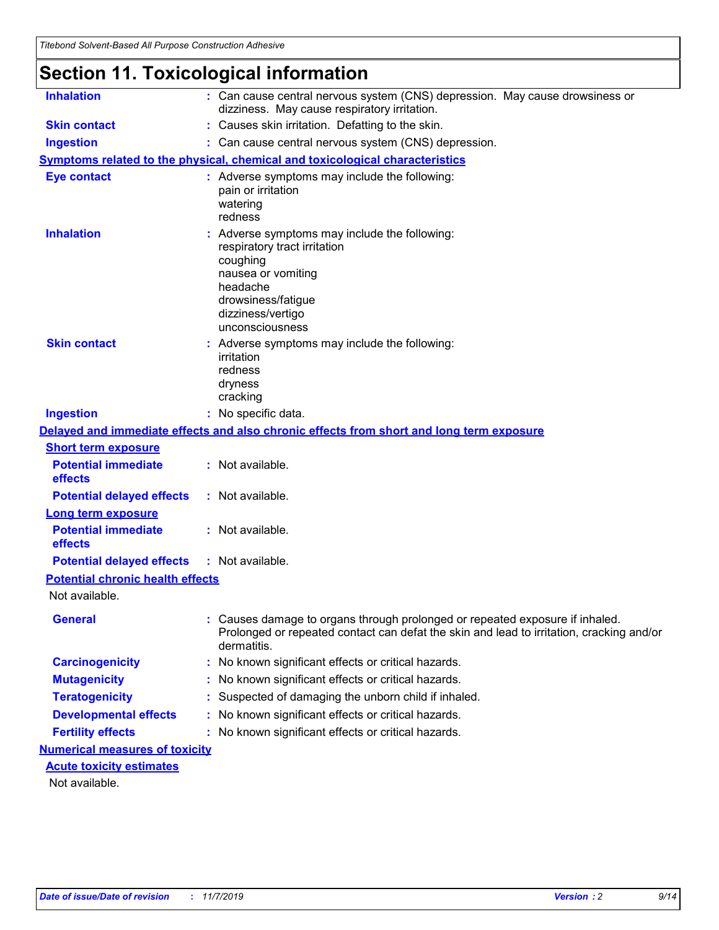# **Section 11. Toxicological information**

| <b>Inhalation</b>                       | : Can cause central nervous system (CNS) depression. May cause drowsiness or<br>dizziness. May cause respiratory irritation.                                                            |
|-----------------------------------------|-----------------------------------------------------------------------------------------------------------------------------------------------------------------------------------------|
| <b>Skin contact</b>                     | Causes skin irritation. Defatting to the skin.                                                                                                                                          |
| <b>Ingestion</b>                        | : Can cause central nervous system (CNS) depression.                                                                                                                                    |
|                                         | <b>Symptoms related to the physical, chemical and toxicological characteristics</b>                                                                                                     |
| <b>Eye contact</b>                      | : Adverse symptoms may include the following:<br>pain or irritation<br>watering<br>redness                                                                                              |
| <b>Inhalation</b>                       | Adverse symptoms may include the following:<br>respiratory tract irritation<br>coughing<br>nausea or vomiting<br>headache<br>drowsiness/fatigue<br>dizziness/vertigo<br>unconsciousness |
| <b>Skin contact</b>                     | : Adverse symptoms may include the following:<br>irritation<br>redness<br>dryness<br>cracking                                                                                           |
| <b>Ingestion</b>                        | : No specific data.                                                                                                                                                                     |
|                                         | Delayed and immediate effects and also chronic effects from short and long term exposure                                                                                                |
| <b>Short term exposure</b>              |                                                                                                                                                                                         |
| <b>Potential immediate</b><br>effects   | : Not available.                                                                                                                                                                        |
| <b>Potential delayed effects</b>        | : Not available.                                                                                                                                                                        |
| <b>Long term exposure</b>               |                                                                                                                                                                                         |
| <b>Potential immediate</b><br>effects   | : Not available.                                                                                                                                                                        |
| <b>Potential delayed effects</b>        | : Not available.                                                                                                                                                                        |
| <b>Potential chronic health effects</b> |                                                                                                                                                                                         |
| Not available.                          |                                                                                                                                                                                         |
| <b>General</b>                          | Causes damage to organs through prolonged or repeated exposure if inhaled.<br>Prolonged or repeated contact can defat the skin and lead to irritation, cracking and/or<br>dermatitis.   |
| <b>Carcinogenicity</b>                  | No known significant effects or critical hazards.                                                                                                                                       |
| <b>Mutagenicity</b>                     | No known significant effects or critical hazards.                                                                                                                                       |
| <b>Teratogenicity</b>                   | Suspected of damaging the unborn child if inhaled.                                                                                                                                      |
| <b>Developmental effects</b>            | No known significant effects or critical hazards.                                                                                                                                       |
| <b>Fertility effects</b>                | No known significant effects or critical hazards.                                                                                                                                       |
| <b>Numerical measures of toxicity</b>   |                                                                                                                                                                                         |
| <b>Acute toxicity estimates</b>         |                                                                                                                                                                                         |
| Not available.                          |                                                                                                                                                                                         |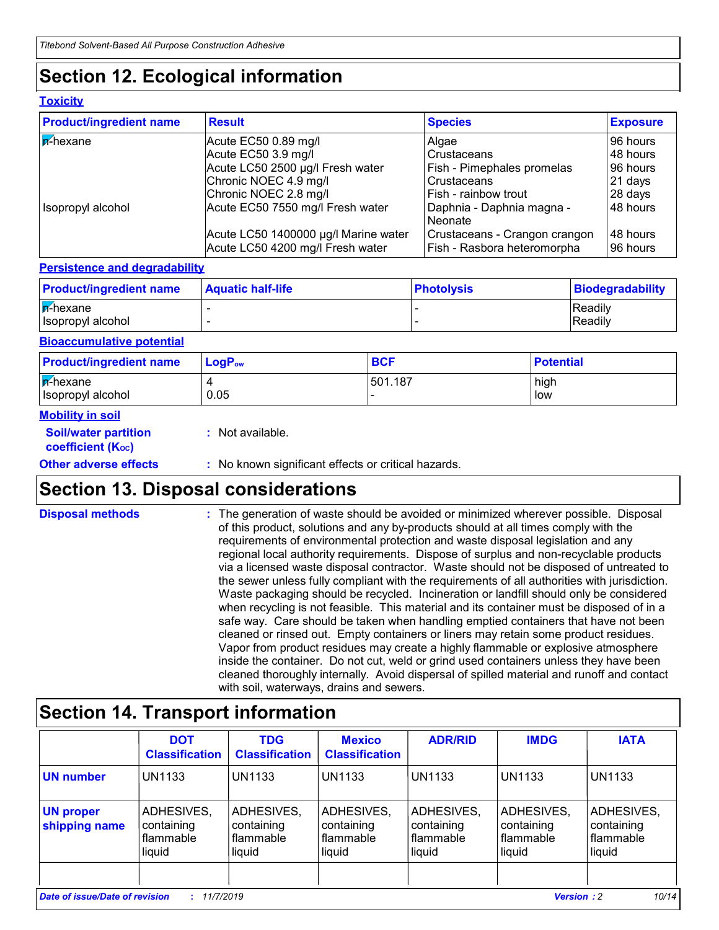# **Section 12. Ecological information**

#### **Toxicity**

| <b>Product/ingredient name</b> | <b>Result</b>                                                            | <b>Species</b>                                               | <b>Exposure</b>      |
|--------------------------------|--------------------------------------------------------------------------|--------------------------------------------------------------|----------------------|
| $\sqrt{\mathsf{p}^2}$ hexane   | Acute EC50 0.89 mg/l                                                     | Algae                                                        | l 96 hours i         |
|                                | Acute EC50 3.9 mg/l                                                      | Crustaceans                                                  | 48 hours             |
|                                | Acute LC50 2500 µg/l Fresh water                                         | Fish - Pimephales promelas                                   | 96 hours             |
|                                | Chronic NOEC 4.9 mg/l                                                    | Crustaceans                                                  | 21 days              |
|                                | Chronic NOEC 2.8 mg/l                                                    | Fish - rainbow trout                                         | 28 days              |
| Isopropyl alcohol              | Acute EC50 7550 mg/l Fresh water                                         | Daphnia - Daphnia magna -<br>Neonate                         | 48 hours             |
|                                | Acute LC50 1400000 µg/l Marine water<br>Acute LC50 4200 mg/l Fresh water | Crustaceans - Crangon crangon<br>Fish - Rasbora heteromorpha | 48 hours<br>96 hours |

#### **Persistence and degradability**

| <b>Product/ingredient name</b> | <b>Aquatic half-life</b> | ∣PhotoIvsis | Biodegradability |
|--------------------------------|--------------------------|-------------|------------------|
| $\sqrt{\mathsf{p}^2}$ hexane   |                          |             | <b>Readily</b>   |
| Isopropyl alcohol              |                          |             | Readily          |

#### **Bioaccumulative potential**

| <b>Product/ingredient name</b>          | $\mathsf{LogP}_\mathsf{ow}$ | <b>BCF</b> | <b>Potential</b> |
|-----------------------------------------|-----------------------------|------------|------------------|
| $ \vec{r}$ -hexane<br>Isopropyl alcohol | 0.05                        | 501.187    | high<br>low      |

#### **Mobility in soil**

| <b>Other adverse effects</b>                                  | : No known significant effects or critical hazards. |
|---------------------------------------------------------------|-----------------------------------------------------|
| <b>Soil/water partition</b><br>coefficient (K <sub>oc</sub> ) | : Not available.                                    |

# **Section 13. Disposal considerations**

The generation of waste should be avoided or minimized wherever possible. Disposal of this product, solutions and any by-products should at all times comply with the requirements of environmental protection and waste disposal legislation and any regional local authority requirements. Dispose of surplus and non-recyclable products via a licensed waste disposal contractor. Waste should not be disposed of untreated to the sewer unless fully compliant with the requirements of all authorities with jurisdiction. Waste packaging should be recycled. Incineration or landfill should only be considered when recycling is not feasible. This material and its container must be disposed of in a safe way. Care should be taken when handling emptied containers that have not been cleaned or rinsed out. Empty containers or liners may retain some product residues. Vapor from product residues may create a highly flammable or explosive atmosphere inside the container. Do not cut, weld or grind used containers unless they have been cleaned thoroughly internally. Avoid dispersal of spilled material and runoff and contact with soil, waterways, drains and sewers. **Disposal methods :**

# **Section 14. Transport information**

|                                   | <b>DOT</b><br><b>Classification</b>             | <b>TDG</b><br><b>Classification</b>             | <b>Mexico</b><br><b>Classification</b>            | <b>ADR/RID</b>                                  | <b>IMDG</b>                                            | <b>IATA</b>                                     |
|-----------------------------------|-------------------------------------------------|-------------------------------------------------|---------------------------------------------------|-------------------------------------------------|--------------------------------------------------------|-------------------------------------------------|
| <b>UN number</b>                  | <b>UN1133</b>                                   | <b>UN1133</b>                                   | <b>UN1133</b>                                     | UN1133                                          | <b>UN1133</b>                                          | <b>UN1133</b>                                   |
| <b>UN proper</b><br>shipping name | ADHESIVES,<br>containing<br>flammable<br>liquid | ADHESIVES,<br>containing<br>flammable<br>liquid | ADHESIVES,<br>containing<br>  flammable<br>liquid | ADHESIVES,<br>containing<br>flammable<br>liquid | ADHESIVES,<br>containing<br><b>flammable</b><br>liquid | ADHESIVES,<br>containing<br>flammable<br>liquid |
|                                   |                                                 |                                                 |                                                   |                                                 |                                                        |                                                 |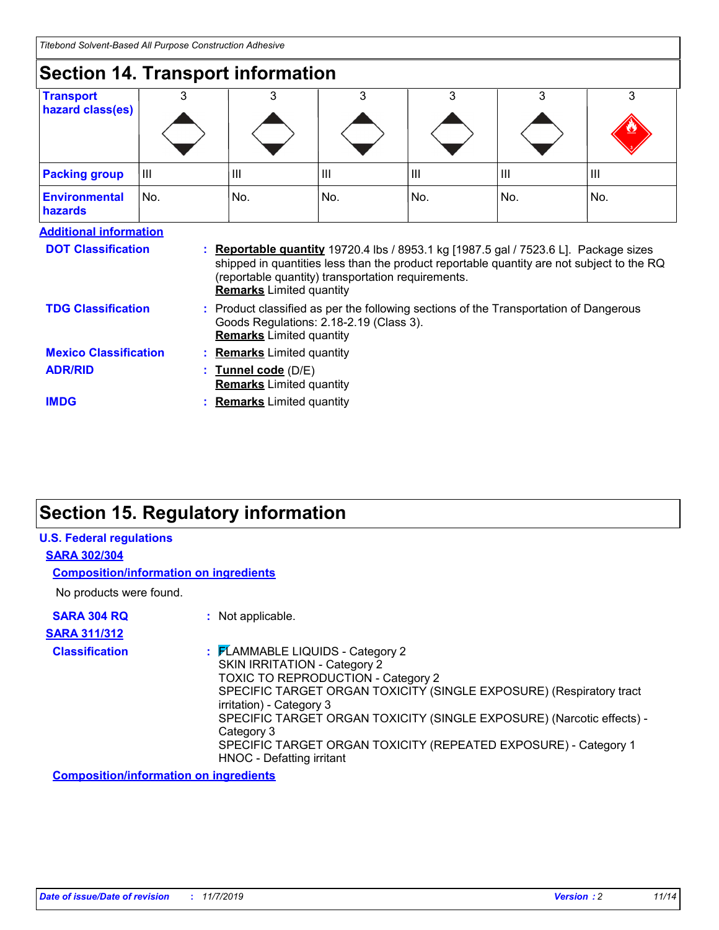| <b>Section 14. Transport information</b> |     |                                                                                                                                                                                                                                                                                   |     |                |     |                |
|------------------------------------------|-----|-----------------------------------------------------------------------------------------------------------------------------------------------------------------------------------------------------------------------------------------------------------------------------------|-----|----------------|-----|----------------|
| <b>Transport</b>                         | 3   | 3                                                                                                                                                                                                                                                                                 | 3   | 3              | 3   | 3              |
| hazard class(es)                         |     |                                                                                                                                                                                                                                                                                   |     |                |     |                |
| <b>Packing group</b>                     | Ш   | Ш                                                                                                                                                                                                                                                                                 | Ш   | $\mathbf{III}$ | III | $\mathbf{III}$ |
| <b>Environmental</b><br><b>hazards</b>   | No. | No.                                                                                                                                                                                                                                                                               | No. | No.            | No. | No.            |
| <b>Additional information</b>            |     |                                                                                                                                                                                                                                                                                   |     |                |     |                |
| <b>DOT Classification</b>                |     | <b>: Reportable quantity</b> 19720.4 lbs / 8953.1 kg [1987.5 gal / 7523.6 L]. Package sizes<br>shipped in quantities less than the product reportable quantity are not subject to the RQ<br>(reportable quantity) transportation requirements.<br><b>Remarks</b> Limited quantity |     |                |     |                |
| <b>TDG Classification</b>                |     | : Product classified as per the following sections of the Transportation of Dangerous<br>Goods Regulations: 2.18-2.19 (Class 3).<br><b>Remarks</b> Limited quantity                                                                                                               |     |                |     |                |

#### **Tunnel code** (D/E) **: Remarks** Limited quantity **Remarks** Limited quantity **Mexico Classification ADR/RID**

**IMDG**

**Remarks** Limited quantity

# **Section 15. Regulatory information**

| <b>U.S. Federal regulations</b>               |                                                                                                                                                                                                                                                                                                                                                                                                  |
|-----------------------------------------------|--------------------------------------------------------------------------------------------------------------------------------------------------------------------------------------------------------------------------------------------------------------------------------------------------------------------------------------------------------------------------------------------------|
| <b>SARA 302/304</b>                           |                                                                                                                                                                                                                                                                                                                                                                                                  |
| <b>Composition/information on ingredients</b> |                                                                                                                                                                                                                                                                                                                                                                                                  |
| No products were found.                       |                                                                                                                                                                                                                                                                                                                                                                                                  |
| <b>SARA 304 RQ</b>                            | : Not applicable.                                                                                                                                                                                                                                                                                                                                                                                |
| <b>SARA 311/312</b>                           |                                                                                                                                                                                                                                                                                                                                                                                                  |
| <b>Classification</b>                         | : FLAMMABLE LIQUIDS - Category 2<br>SKIN IRRITATION - Category 2<br>TOXIC TO REPRODUCTION - Category 2<br>SPECIFIC TARGET ORGAN TOXICITY (SINGLE EXPOSURE) (Respiratory tract<br>irritation) - Category 3<br>SPECIFIC TARGET ORGAN TOXICITY (SINGLE EXPOSURE) (Narcotic effects) -<br>Category 3<br>SPECIFIC TARGET ORGAN TOXICITY (REPEATED EXPOSURE) - Category 1<br>HNOC - Defatting irritant |

**Composition/information on ingredients**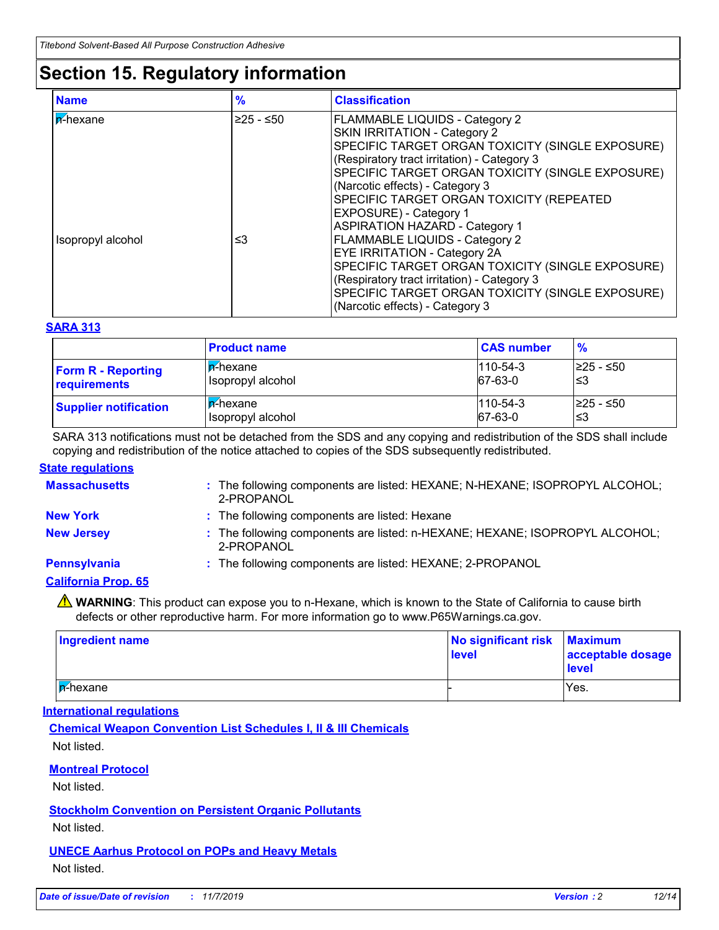# **Section 15. Regulatory information**

| <b>Name</b>       | $\frac{9}{6}$ | <b>Classification</b>                                                                                                                                                                                                                                                                                                                 |
|-------------------|---------------|---------------------------------------------------------------------------------------------------------------------------------------------------------------------------------------------------------------------------------------------------------------------------------------------------------------------------------------|
| <b>n</b> -hexane  | $≥25 - ≤50$   | FLAMMABLE LIQUIDS - Category 2<br><b>SKIN IRRITATION - Category 2</b><br>SPECIFIC TARGET ORGAN TOXICITY (SINGLE EXPOSURE)<br>(Respiratory tract irritation) - Category 3<br>SPECIFIC TARGET ORGAN TOXICITY (SINGLE EXPOSURE)<br>(Narcotic effects) - Category 3<br>SPECIFIC TARGET ORGAN TOXICITY (REPEATED<br>EXPOSURE) - Category 1 |
| Isopropyl alcohol | ≤3            | <b>ASPIRATION HAZARD - Category 1</b><br>FLAMMABLE LIQUIDS - Category 2<br><b>EYE IRRITATION - Category 2A</b><br>SPECIFIC TARGET ORGAN TOXICITY (SINGLE EXPOSURE)<br>(Respiratory tract irritation) - Category 3<br>SPECIFIC TARGET ORGAN TOXICITY (SINGLE EXPOSURE)<br>(Narcotic effects) - Category 3                              |

#### **SARA 313**

|                              | <b>Product name</b>      | <b>CAS number</b> | $\frac{9}{6}$ |
|------------------------------|--------------------------|-------------------|---------------|
| <b>Form R - Reporting</b>    | ∣ <mark>n</mark> -hexane | $1110 - 54 - 3$   | l≥25 - ≤50    |
| requirements                 | Isopropyl alcohol        | 67-63-0           | '≤3           |
| <b>Supplier notification</b> | <b>F</b> -hexane         | $1110 - 54 - 3$   | l≥25 - ≤50    |
|                              | Isopropyl alcohol        | $67-63-0$         | ′≤3           |

SARA 313 notifications must not be detached from the SDS and any copying and redistribution of the SDS shall include copying and redistribution of the notice attached to copies of the SDS subsequently redistributed.

#### **State regulations**

| <b>Massachusetts</b>       | : The following components are listed: HEXANE; N-HEXANE; ISOPROPYL ALCOHOL;<br>2-PROPANOL |
|----------------------------|-------------------------------------------------------------------------------------------|
| <b>New York</b>            | : The following components are listed: Hexane                                             |
| <b>New Jersey</b>          | : The following components are listed: n-HEXANE; HEXANE; ISOPROPYL ALCOHOL;<br>2-PROPANOL |
| <b>Pennsylvania</b>        | : The following components are listed: HEXANE; 2-PROPANOL                                 |
| <b>California Prop. 65</b> |                                                                                           |
|                            |                                                                                           |

**A** WARNING: This product can expose you to n-Hexane, which is known to the State of California to cause birth defects or other reproductive harm. For more information go to www.P65Warnings.ca.gov.

| Ingredient name          | No significant risk Maximum<br>level | acceptable dosage<br><b>level</b> |
|--------------------------|--------------------------------------|-----------------------------------|
| l <mark>n</mark> -hexane |                                      | Yes.                              |

#### **International regulations**

**Chemical Weapon Convention List Schedules I, II & III Chemicals** Not listed.

#### **Montreal Protocol**

Not listed.

#### **Stockholm Convention on Persistent Organic Pollutants**

Not listed.

### **UNECE Aarhus Protocol on POPs and Heavy Metals**

Not listed.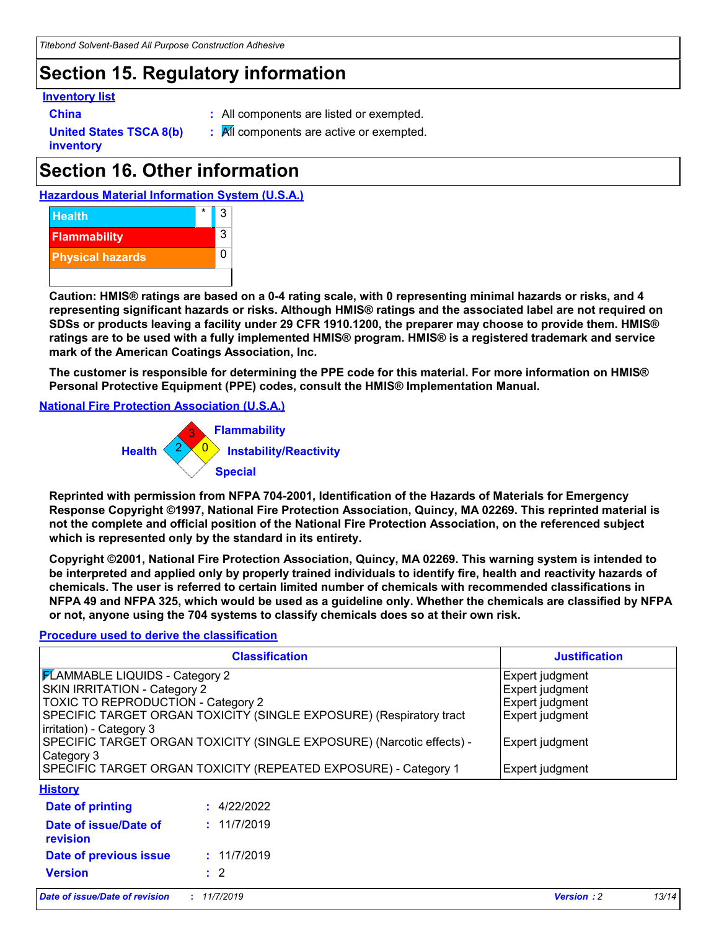# **Section 15. Regulatory information**

#### **Inventory list**

- 
- **China :** All components are listed or exempted.
- **United States TSCA 8(b)**
- 
- **inventory**
- **:** All components are active or exempted.

# **Section 16. Other information**

**Hazardous Material Information System (U.S.A.)**



**Caution: HMIS® ratings are based on a 0-4 rating scale, with 0 representing minimal hazards or risks, and 4 representing significant hazards or risks. Although HMIS® ratings and the associated label are not required on SDSs or products leaving a facility under 29 CFR 1910.1200, the preparer may choose to provide them. HMIS® ratings are to be used with a fully implemented HMIS® program. HMIS® is a registered trademark and service mark of the American Coatings Association, Inc.**

**The customer is responsible for determining the PPE code for this material. For more information on HMIS® Personal Protective Equipment (PPE) codes, consult the HMIS® Implementation Manual.**

**National Fire Protection Association (U.S.A.)**



**Reprinted with permission from NFPA 704-2001, Identification of the Hazards of Materials for Emergency Response Copyright ©1997, National Fire Protection Association, Quincy, MA 02269. This reprinted material is not the complete and official position of the National Fire Protection Association, on the referenced subject which is represented only by the standard in its entirety.**

**Copyright ©2001, National Fire Protection Association, Quincy, MA 02269. This warning system is intended to be interpreted and applied only by properly trained individuals to identify fire, health and reactivity hazards of chemicals. The user is referred to certain limited number of chemicals with recommended classifications in NFPA 49 and NFPA 325, which would be used as a guideline only. Whether the chemicals are classified by NFPA or not, anyone using the 704 systems to classify chemicals does so at their own risk.**

#### **Procedure used to derive the classification**

|                                        | <b>Justification</b>                                                  |                   |       |
|----------------------------------------|-----------------------------------------------------------------------|-------------------|-------|
| <b>FLAMMABLE LIQUIDS - Category 2</b>  |                                                                       | Expert judgment   |       |
| <b>SKIN IRRITATION - Category 2</b>    | Expert judgment                                                       |                   |       |
| TOXIC TO REPRODUCTION - Category 2     |                                                                       | Expert judgment   |       |
|                                        | SPECIFIC TARGET ORGAN TOXICITY (SINGLE EXPOSURE) (Respiratory tract   | Expert judgment   |       |
| irritation) - Category 3<br>Category 3 | SPECIFIC TARGET ORGAN TOXICITY (SINGLE EXPOSURE) (Narcotic effects) - | Expert judgment   |       |
|                                        | SPECIFIC TARGET ORGAN TOXICITY (REPEATED EXPOSURE) - Category 1       | Expert judgment   |       |
| <b>History</b>                         |                                                                       |                   |       |
| Date of printing                       | : 4/22/2022                                                           |                   |       |
| Date of issue/Date of<br>revision      | : 11/7/2019                                                           |                   |       |
| Date of previous issue                 | : 11/7/2019                                                           |                   |       |
| <b>Version</b>                         | $\cdot$ 2                                                             |                   |       |
| Date of issue/Date of revision         | : 11/7/2019                                                           | <b>Version: 2</b> | 13/14 |